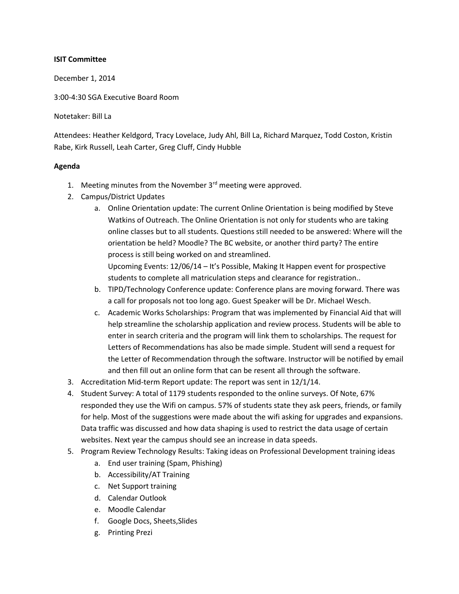## **ISIT Committee**

December 1, 2014

3:00-4:30 SGA Executive Board Room

Notetaker: Bill La

Attendees: Heather Keldgord, Tracy Lovelace, Judy Ahl, Bill La, Richard Marquez, Todd Coston, Kristin Rabe, Kirk Russell, Leah Carter, Greg Cluff, Cindy Hubble

## **Agenda**

- 1. Meeting minutes from the November  $3<sup>rd</sup>$  meeting were approved.
- 2. Campus/District Updates
	- a. Online Orientation update: The current Online Orientation is being modified by Steve Watkins of Outreach. The Online Orientation is not only for students who are taking online classes but to all students. Questions still needed to be answered: Where will the orientation be held? Moodle? The BC website, or another third party? The entire process is still being worked on and streamlined.

Upcoming Events: 12/06/14 – It's Possible, Making It Happen event for prospective students to complete all matriculation steps and clearance for registration..

- b. TIPD/Technology Conference update: Conference plans are moving forward. There was a call for proposals not too long ago. Guest Speaker will be Dr. Michael Wesch.
- c. Academic Works Scholarships: Program that was implemented by Financial Aid that will help streamline the scholarship application and review process. Students will be able to enter in search criteria and the program will link them to scholarships. The request for Letters of Recommendations has also be made simple. Student will send a request for the Letter of Recommendation through the software. Instructor will be notified by email and then fill out an online form that can be resent all through the software.
- 3. Accreditation Mid-term Report update: The report was sent in 12/1/14.
- 4. Student Survey: A total of 1179 students responded to the online surveys. Of Note, 67% responded they use the Wifi on campus. 57% of students state they ask peers, friends, or family for help. Most of the suggestions were made about the wifi asking for upgrades and expansions. Data traffic was discussed and how data shaping is used to restrict the data usage of certain websites. Next year the campus should see an increase in data speeds.
- 5. Program Review Technology Results: Taking ideas on Professional Development training ideas
	- a. End user training (Spam, Phishing)
	- b. Accessibility/AT Training
	- c. Net Support training
	- d. Calendar Outlook
	- e. Moodle Calendar
	- f. Google Docs, Sheets,Slides
	- g. Printing Prezi